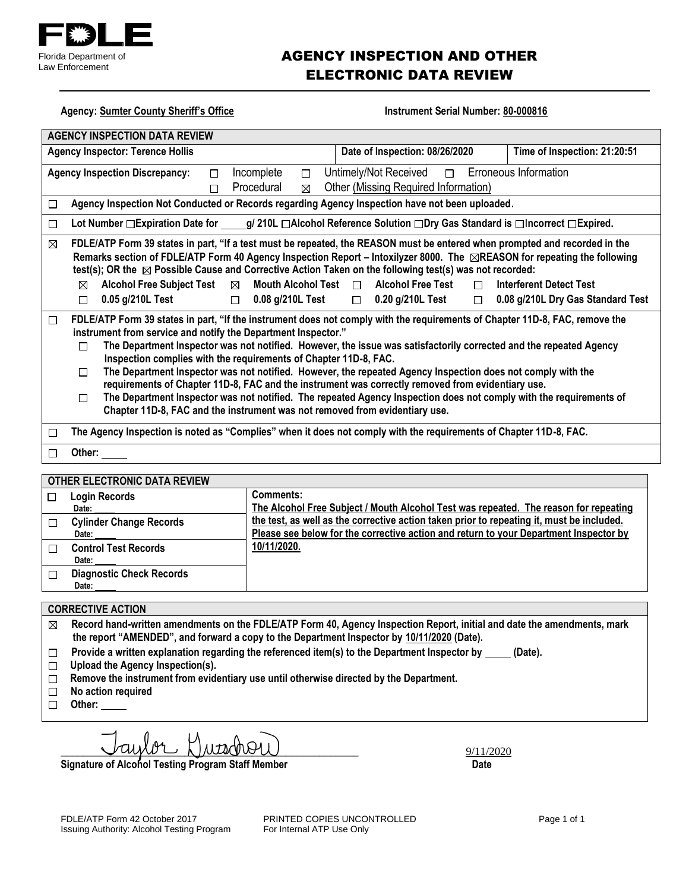

### AGENCY INSPECTION AND OTHER ELECTRONIC DATA REVIEW

Agency: Sumter CSO **Instrument Serial Number: 80-000816** 

| <b>AGENCY INSPECTION DATA REVIEW</b>                        |                                                                                                                                                                                                                                                                                                                                                                                                                                                                                                                                                                                                                                                                                                                                                                                                                                               |                                                                                                                   |                                                     |                                                                                    |                                                                     |  |
|-------------------------------------------------------------|-----------------------------------------------------------------------------------------------------------------------------------------------------------------------------------------------------------------------------------------------------------------------------------------------------------------------------------------------------------------------------------------------------------------------------------------------------------------------------------------------------------------------------------------------------------------------------------------------------------------------------------------------------------------------------------------------------------------------------------------------------------------------------------------------------------------------------------------------|-------------------------------------------------------------------------------------------------------------------|-----------------------------------------------------|------------------------------------------------------------------------------------|---------------------------------------------------------------------|--|
|                                                             | Date of Inspection: 11/19/2020<br>Time of Inspection: 08:28:00<br><b>Agency Inspector: Terence Hollis</b>                                                                                                                                                                                                                                                                                                                                                                                                                                                                                                                                                                                                                                                                                                                                     |                                                                                                                   |                                                     |                                                                                    |                                                                     |  |
|                                                             | <b>Erroneous Information</b><br>Untimely/Not Received<br>Incomplete<br>$\Box$<br><b>Agency Inspection Discrepancy:</b><br>$\Box$<br>$\Box$<br>Procedural<br>Other<br>$\Box$<br>⊠                                                                                                                                                                                                                                                                                                                                                                                                                                                                                                                                                                                                                                                              |                                                                                                                   |                                                     |                                                                                    |                                                                     |  |
| □                                                           | Agency Inspection Not Conducted or Records regarding Agency Inspection have not been uploaded.                                                                                                                                                                                                                                                                                                                                                                                                                                                                                                                                                                                                                                                                                                                                                |                                                                                                                   |                                                     |                                                                                    |                                                                     |  |
| $\Box$                                                      | Lot Number □ Expiration Date for g/ 210L □ Alcohol Reference Solution □ Dry Gas Standard is □ Incorrect □ Expired.                                                                                                                                                                                                                                                                                                                                                                                                                                                                                                                                                                                                                                                                                                                            |                                                                                                                   |                                                     |                                                                                    |                                                                     |  |
| □                                                           | FDLE/ATP Form 39 states in part, "If a test must be repeated, the REASON must be entered when prompted and recorded in the<br>Remarks section of FDLE/ATP Form 40 Agency Inspection Report - Intoxilyzer 8000. The  TREASON for repeating the following<br>test(s); OR the $\Box$ Possible Cause and Corrective Action Taken on the following test(s) was not recorded:<br><b>Alcohol Free Subject Test</b><br>$\Box$<br>$\Box$<br>0.05 g/210L Test<br>$\Box$<br>$\Box$                                                                                                                                                                                                                                                                                                                                                                       | Mouth Alcohol Test $\Box$<br>0.08 g/210L Test                                                                     | <b>Alcohol Free Test</b><br>$\Box$ 0.20 g/210L Test | $\Box$<br>$\Box$                                                                   | <b>Interferent Detect Test</b><br>0.08 g/210L Dry Gas Standard Test |  |
| □                                                           | FDLE/ATP Form 39 states in part, "If the instrument does not comply with the requirements of Chapter 11D-8, FAC, remove the<br>instrument from service and notify the Department Inspector."<br>The Department Inspector was not notified. However, the issue was satisfactorily corrected and the repeated Agency<br>$\Box$<br>Inspection complies with the requirements of Chapter 11D-8, FAC.<br>The Department Inspector was not notified. However, the repeated Agency Inspection does not comply with the<br>$\Box$<br>requirements of Chapter 11D-8, FAC and the instrument was correctly removed from evidentiary use.<br>The Department Inspector was not notified. The repeated Agency Inspection does not comply with the requirements of<br>$\Box$<br>Chapter 11D-8, FAC and the instrument was not removed from evidentiary use. |                                                                                                                   |                                                     |                                                                                    |                                                                     |  |
| □                                                           |                                                                                                                                                                                                                                                                                                                                                                                                                                                                                                                                                                                                                                                                                                                                                                                                                                               | The Agency Inspection is noted as "Complies" when it does not comply with the requirements of Chapter 11D-8, FAC. |                                                     |                                                                                    |                                                                     |  |
| □                                                           | Other:                                                                                                                                                                                                                                                                                                                                                                                                                                                                                                                                                                                                                                                                                                                                                                                                                                        |                                                                                                                   |                                                     |                                                                                    |                                                                     |  |
| <b>OTHER ELECTRONIC DATA REVIEW</b>                         |                                                                                                                                                                                                                                                                                                                                                                                                                                                                                                                                                                                                                                                                                                                                                                                                                                               |                                                                                                                   |                                                     |                                                                                    |                                                                     |  |
| <b>Comments:</b><br><b>Login Records</b><br>$\Box$<br>Date: |                                                                                                                                                                                                                                                                                                                                                                                                                                                                                                                                                                                                                                                                                                                                                                                                                                               |                                                                                                                   |                                                     | The inspection was incomplete but marked as compliant. A remark should be included |                                                                     |  |
| □                                                           | <b>Cylinder Change Records</b><br>Date:                                                                                                                                                                                                                                                                                                                                                                                                                                                                                                                                                                                                                                                                                                                                                                                                       | addressing why the inspection was not completed, and the Compliance portion of the<br>form should be marked "No". |                                                     |                                                                                    |                                                                     |  |
| □                                                           | <b>Control Test Records</b><br>Date:                                                                                                                                                                                                                                                                                                                                                                                                                                                                                                                                                                                                                                                                                                                                                                                                          |                                                                                                                   |                                                     |                                                                                    |                                                                     |  |
| $\Box$                                                      | <b>Diagnostic Check Records</b><br>Date:                                                                                                                                                                                                                                                                                                                                                                                                                                                                                                                                                                                                                                                                                                                                                                                                      |                                                                                                                   |                                                     |                                                                                    |                                                                     |  |

#### **CORRECTIVE ACTION**

- **Record hand-written amendments on the FDLE/ATP Form 40, Agency Inspection Report, initial and date the amendments, mark**   $\boxtimes$ **the report "AMENDED", and forward a copy to the Department Inspector by 02/12/2021 (Date).**
- Provide a written explanation regarding the referenced item(s) to the Department Inspector by \_\_\_\_\_ (Date).  $\Box$
- **Upload the Agency Inspection(s).**
- **Remove the instrument from evidentiary use until otherwise directed by the Department.**
- **No action required**  $\Box$
- **Other:**

 $\bigcup \mathcal{U} \downarrow \downarrow \downarrow \downarrow \downarrow \downarrow \dots$ 

Signature of Alcohol Testing Program Staff Member **Date 19th Contact Contact Contact Contact Contact Contact Contact Contact Contact Contact Contact Contact Contact Contact Contact Contact Contact Contact Contact Contact C** 

FDLE/ATP Form 42 October 2017 **PRINTED COPIES UNCONTROLLED** Page 1 of 1<br>
Issuing Authority: Alcohol Testing Program For Internal ATP Use Only Issuing Authority: Alcohol Testing Program